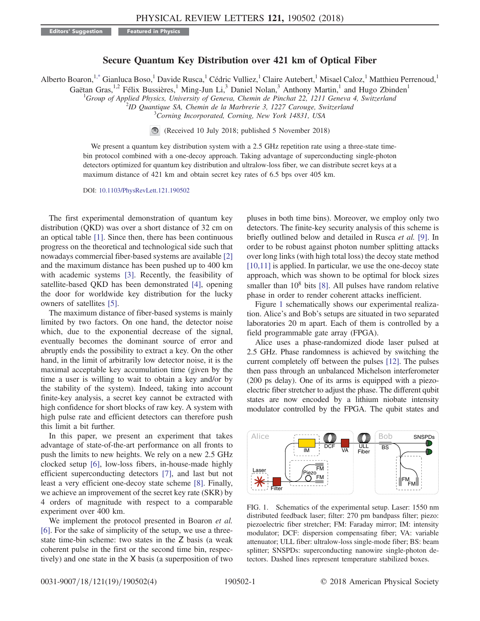Editors' Suggestion Featured in Physics

## Secure Quantum Key Distribution over 421 km of Optical Fiber

<span id="page-0-1"></span>Alberto Boaron,<sup>1[,\\*](#page-3-0)</sup> Gianluca Boso,<sup>1</sup> Davide Rusca,<sup>1</sup> Cédric Vulliez,<sup>1</sup> Claire Autebert,<sup>1</sup> Misael Caloz,<sup>1</sup> Matthieu Perrenoud,<sup>1</sup>

Gaëtan Gras,<sup>1,2</sup> Félix Bussières,<sup>1</sup> Ming-Jun Li,<sup>3</sup> Daniel Nolan,<sup>3</sup> Anthony Martin,<sup>1</sup> and Hugo Zbinden<sup>1</sup>

<sup>1</sup>Group of Applied Physics, University of Geneva, Chemin de Pinchat 22, 1211 Geneva 4, Switzerland<br><sup>2</sup>D Quantique SA, Chemin de la Marbraria 3, 1227 Carouse, Switzgrland

 $^2$ ID Quantique SA, Chemin de la Marbrerie 3, 1227 Carouge, Switzerland

<sup>3</sup>Corning Incorporated, Corning, New York 14831, USA

(Received 10 July 2018; published 5 November 2018)

We present a quantum key distribution system with a 2.5 GHz repetition rate using a three-state timebin protocol combined with a one-decoy approach. Taking advantage of superconducting single-photon detectors optimized for quantum key distribution and ultralow-loss fiber, we can distribute secret keys at a maximum distance of 421 km and obtain secret key rates of 6.5 bps over 405 km.

DOI: [10.1103/PhysRevLett.121.190502](https://doi.org/10.1103/PhysRevLett.121.190502)

The first experimental demonstration of quantum key distribution (QKD) was over a short distance of 32 cm on an optical table [\[1\].](#page-3-1) Since then, there has been continuous progress on the theoretical and technological side such that nowadays commercial fiber-based systems are available [\[2\]](#page-3-2) and the maximum distance has been pushed up to 400 km with academic systems [\[3\].](#page-3-3) Recently, the feasibility of satellite-based QKD has been demonstrated [\[4\]](#page-3-4), opening the door for worldwide key distribution for the lucky owners of satellites [\[5\]](#page-3-5).

The maximum distance of fiber-based systems is mainly limited by two factors. On one hand, the detector noise which, due to the exponential decrease of the signal, eventually becomes the dominant source of error and abruptly ends the possibility to extract a key. On the other hand, in the limit of arbitrarily low detector noise, it is the maximal acceptable key accumulation time (given by the time a user is willing to wait to obtain a key and/or by the stability of the system). Indeed, taking into account finite-key analysis, a secret key cannot be extracted with high confidence for short blocks of raw key. A system with high pulse rate and efficient detectors can therefore push this limit a bit further.

In this paper, we present an experiment that takes advantage of state-of-the-art performance on all fronts to push the limits to new heights. We rely on a new 2.5 GHz clocked setup [\[6\]](#page-3-6), low-loss fibers, in-house-made highly efficient superconducting detectors [\[7\],](#page-3-7) and last but not least a very efficient one-decoy state scheme [\[8\]](#page-3-8). Finally, we achieve an improvement of the secret key rate (SKR) by 4 orders of magnitude with respect to a comparable experiment over 400 km.

We implement the protocol presented in Boaron et al. [\[6\]](#page-3-6). For the sake of simplicity of the setup, we use a threestate time-bin scheme: two states in the Z basis (a weak coherent pulse in the first or the second time bin, respectively) and one state in the X basis (a superposition of two pluses in both time bins). Moreover, we employ only two detectors. The finite-key security analysis of this scheme is briefly outlined below and detailed in Rusca et al. [\[9\]](#page-3-9). In order to be robust against photon number splitting attacks over long links (with high total loss) the decoy state method [\[10,11\]](#page-3-10) is applied. In particular, we use the one-decoy state approach, which was shown to be optimal for block sizes smaller than  $10^8$  bits [\[8\].](#page-3-8) All pulses have random relative phase in order to render coherent attacks inefficient.

Figure [1](#page-0-0) schematically shows our experimental realization. Alice's and Bob's setups are situated in two separated laboratories 20 m apart. Each of them is controlled by a field programmable gate array (FPGA).

Alice uses a phase-randomized diode laser pulsed at 2.5 GHz. Phase randomness is achieved by switching the current completely off between the pulses [\[12\]](#page-3-11). The pulses then pass through an unbalanced Michelson interferometer (200 ps delay). One of its arms is equipped with a piezoelectric fiber stretcher to adjust the phase. The different qubit states are now encoded by a lithium niobate intensity modulator controlled by the FPGA. The qubit states and

<span id="page-0-0"></span>

FIG. 1. Schematics of the experimental setup. Laser: 1550 nm distributed feedback laser; filter: 270 pm bandpass filter; piezo: piezoelectric fiber stretcher; FM: Faraday mirror; IM: intensity modulator; DCF: dispersion compensating fiber; VA: variable attenuator; ULL fiber: ultralow-loss single-mode fiber; BS: beam splitter; SNSPDs: superconducting nanowire single-photon detectors. Dashed lines represent temperature stabilized boxes.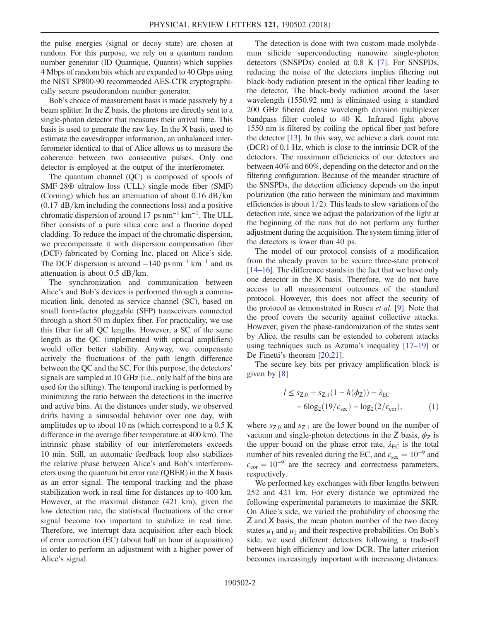the pulse energies (signal or decoy state) are chosen at random. For this purpose, we rely on a quantum random number generator (ID Quantique, Quantis) which supplies 4 Mbps of random bits which are expanded to 40 Gbps using the NIST SP800-90 recommended AES-CTR cryptographically secure pseudorandom number generator.

Bob's choice of measurement basis is made passively by a beam splitter. In the Z basis, the photons are directly sent to a single-photon detector that measures their arrival time. This basis is used to generate the raw key. In the X basis, used to estimate the eavesdropper information, an unbalanced interferometer identical to that of Alice allows us to measure the coherence between two consecutive pulses. Only one detector is employed at the output of the interferometer.

The quantum channel (QC) is composed of spools of SMF-28® ultralow-loss (ULL) single-mode fiber (SMF) (Corning) which has an attenuation of about  $0.16$  dB/km  $(0.17 \text{ dB/km}$  including the connections loss) and a positive chromatic dispersion of around 17 ps  $nm^{-1}$  km<sup>-1</sup>. The ULL fiber consists of a pure silica core and a fluorine doped cladding. To reduce the impact of the chromatic dispersion, we precompensate it with dispersion compensation fiber (DCF) fabricated by Corning Inc. placed on Alice's side. The DCF dispersion is around  $-140$  ps nm<sup>-1</sup> km<sup>-1</sup> and its attenuation is about  $0.5$  dB/km.

The synchronization and communication between Alice's and Bob's devices is performed through a communication link, denoted as service channel (SC), based on small form-factor pluggable (SFP) transceivers connected through a short 50 m duplex fiber. For practicality, we use this fiber for all QC lengths. However, a SC of the same length as the QC (implemented with optical amplifiers) would offer better stability. Anyway, we compensate actively the fluctuations of the path length difference between the QC and the SC. For this purpose, the detectors' signals are sampled at 10 GHz (i.e., only half of the bins are used for the sifting). The temporal tracking is performed by minimizing the ratio between the detections in the inactive and active bins. At the distances under study, we observed drifts having a sinusoidal behavior over one day, with amplitudes up to about 10 ns (which correspond to a 0.5 K difference in the average fiber temperature at 400 km). The intrinsic phase stability of our interferometers exceeds 10 min. Still, an automatic feedback loop also stabilizes the relative phase between Alice's and Bob's interferometers using the quantum bit error rate (QBER) in the X basis as an error signal. The temporal tracking and the phase stabilization work in real time for distances up to 400 km. However, at the maximal distance (421 km), given the low detection rate, the statistical fluctuations of the error signal become too important to stabilize in real time. Therefore, we interrupt data acquisition after each block of error correction (EC) (about half an hour of acquisition) in order to perform an adjustment with a higher power of Alice's signal.

The detection is done with two custom-made molybdenum silicide superconducting nanowire single-photon detectors (SNSPDs) cooled at 0.8 K [\[7\].](#page-3-7) For SNSPDs, reducing the noise of the detectors implies filtering out black-body radiation present in the optical fiber leading to the detector. The black-body radiation around the laser wavelength (1550.92 nm) is eliminated using a standard 200 GHz fibered dense wavelength division multiplexer bandpass filter cooled to 40 K. Infrared light above 1550 nm is filtered by coiling the optical fiber just before the detector [\[13\]](#page-3-12). In this way, we achieve a dark count rate (DCR) of 0.1 Hz, which is close to the intrinsic DCR of the detectors. The maximum efficiencies of our detectors are between 40% and 60%, depending on the detector and on the filtering configuration. Because of the meander structure of the SNSPDs, the detection efficiency depends on the input polarization (the ratio between the minimum and maximum efficiencies is about  $1/2$ ). This leads to slow variations of the detection rate, since we adjust the polarization of the light at the beginning of the runs but do not perform any further adjustment during the acquisition. The system timing jitter of the detectors is lower than 40 ps.

The model of our protocol consists of a modification from the already proven to be secure three-state protocol [\[14](#page-3-13)–16]. The difference stands in the fact that we have only one detector in the X basis. Therefore, we do not have access to all measurement outcomes of the standard protocol. However, this does not affect the security of the protocol as demonstrated in Rusca et al. [\[9\]](#page-3-9). Note that the proof covers the security against collective attacks. However, given the phase-randomization of the states sent by Alice, the results can be extended to coherent attacks using techniques such as Azuma's inequality [\[17](#page-3-14)–19] or De Finetti's theorem [\[20,21\]](#page-3-15).

The secure key bits per privacy amplification block is given by [\[8\]](#page-3-8)

$$
l \leq s_{Z,0} + s_{Z,1}(1 - h(\phi_Z)) - \lambda_{EC}
$$
  
- 6log<sub>2</sub>(19/ $\epsilon_{\text{sec}}$ ) - log<sub>2</sub>(2/ $\epsilon_{\text{cor}}$ ), (1)

where  $s_{Z,0}$  and  $s_{Z,1}$  are the lower bound on the number of vacuum and single-photon detections in the Z basis,  $\phi$ <sub>Z</sub> is the upper bound on the phase error rate,  $\lambda_{EC}$  is the total number of bits revealed during the EC, and  $\epsilon_{\rm sec} = 10^{-9}$  and  $\epsilon_{cor} = 10^{-9}$  are the secrecy and correctness parameters, respectively.

We performed key exchanges with fiber lengths between 252 and 421 km. For every distance we optimized the following experimental parameters to maximize the SKR. On Alice's side, we varied the probability of choosing the Z and X basis, the mean photon number of the two decoy states  $\mu_1$  and  $\mu_2$  and their respective probabilities. On Bob's side, we used different detectors following a trade-off between high efficiency and low DCR. The latter criterion becomes increasingly important with increasing distances.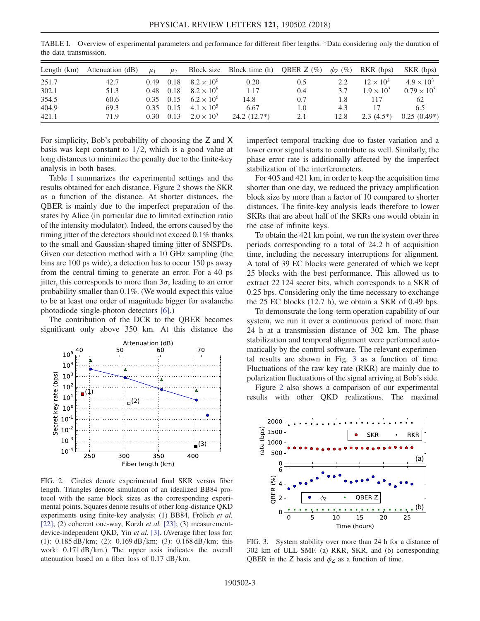| Length $(km)$ | Attenuation (dB) | $\mu_1$           | $\mu_{2}$         |                     | Block size Block time (h) QBER $Z$ (%) |     | $\phi_7$ (%) | RKR (bps)           | SKR (bps)            |
|---------------|------------------|-------------------|-------------------|---------------------|----------------------------------------|-----|--------------|---------------------|----------------------|
| 251.7         | 42.7             | 0.49              | 0.18              | $8.2 \times 10^{6}$ | 0.20                                   | 0.5 | 2.2          | $12 \times 10^3$    | $4.9 \times 10^{3}$  |
| 302.1         | 51.3             |                   | 0.48 0.18         | $8.2 \times 10^{6}$ | 1.17                                   | 0.4 | 37           | $1.9 \times 10^{3}$ | $0.79 \times 10^{3}$ |
| 354.5         | 60.6             |                   | $0.35 \quad 0.15$ | $6.2 \times 10^{6}$ | 14.8                                   | 0.7 | 1.8          | 117                 | 62                   |
| 404.9         | 69.3             |                   | $0.35$ $0.15$     | $4.1 \times 10^{5}$ | 6.67                                   | 1.0 | 4.3          |                     | 6.5                  |
| 421.1         | 71.9             | 0.30 <sup>2</sup> | 0.13              | $2.0 \times 10^5$   | $24.2(12.7*)$                          | 2.1 | 12.8         | $2.3(4.5*)$         | $0.25(0.49*)$        |

<span id="page-2-0"></span>TABLE I. Overview of experimental parameters and performance for different fiber lengths. \*Data considering only the duration of the data transmission.

For simplicity, Bob's probability of choosing the Z and X basis was kept constant to  $1/2$ , which is a good value at long distances to minimize the penalty due to the finite-key analysis in both bases.

Table [I](#page-2-0) summarizes the experimental settings and the results obtained for each distance. Figure [2](#page-2-1) shows the SKR as a function of the distance. At shorter distances, the QBER is mainly due to the imperfect preparation of the states by Alice (in particular due to limited extinction ratio of the intensity modulator). Indeed, the errors caused by the timing jitter of the detectors should not exceed 0.1% thanks to the small and Gaussian-shaped timing jitter of SNSPDs. Given our detection method with a 10 GHz sampling (the bins are 100 ps wide), a detection has to occur 150 ps away from the central timing to generate an error. For a 40 ps jitter, this corresponds to more than  $3\sigma$ , leading to an error probability smaller than 0.1%. (We would expect this value to be at least one order of magnitude bigger for avalanche photodiode single-photon detectors [\[6\].](#page-3-6))

The contribution of the DCR to the QBER becomes significant only above 350 km. At this distance the

<span id="page-2-1"></span>

FIG. 2. Circles denote experimental final SKR versus fiber length. Triangles denote simulation of an idealized BB84 protocol with the same block sizes as the corresponding experimental points. Squares denote results of other long-distance QKD experiments using finite-key analysis: (1) BB84, Frölich et al. [\[22\];](#page-3-16) (2) coherent one-way, Korzh et al. [\[23\]](#page-3-17); (3) measurementdevice-independent QKD, Yin et al. [\[3\].](#page-3-3) (Average fiber loss for: (1):  $0.185 \text{ dB/km}$ ; (2):  $0.169 \text{ dB/km}$ ; (3):  $0.168 \text{ dB/km}$ ; this work:  $0.171 \text{ dB/km}$ .) The upper axis indicates the overall attenuation based on a fiber loss of  $0.17$  dB/km.

imperfect temporal tracking due to faster variation and a lower error signal starts to contribute as well. Similarly, the phase error rate is additionally affected by the imperfect stabilization of the interferometers.

For 405 and 421 km, in order to keep the acquisition time shorter than one day, we reduced the privacy amplification block size by more than a factor of 10 compared to shorter distances. The finite-key analysis leads therefore to lower SKRs that are about half of the SKRs one would obtain in the case of infinite keys.

To obtain the 421 km point, we run the system over three periods corresponding to a total of 24.2 h of acquisition time, including the necessary interruptions for alignment. A total of 39 EC blocks were generated of which we kept 25 blocks with the best performance. This allowed us to extract 22 124 secret bits, which corresponds to a SKR of 0.25 bps. Considering only the time necessary to exchange the 25 EC blocks (12.7 h), we obtain a SKR of 0.49 bps.

To demonstrate the long-term operation capability of our system, we run it over a continuous period of more than 24 h at a transmission distance of 302 km. The phase stabilization and temporal alignment were performed automatically by the control software. The relevant experimental results are shown in Fig. [3](#page-2-2) as a function of time. Fluctuations of the raw key rate (RKR) are mainly due to polarization fluctuations of the signal arriving at Bob's side.

Figure [2](#page-2-1) also shows a comparison of our experimental results with other QKD realizations. The maximal

<span id="page-2-2"></span>

FIG. 3. System stability over more than 24 h for a distance of 302 km of ULL SMF. (a) RKR, SKR, and (b) corresponding QBER in the Z basis and  $\phi$ <sub>Z</sub> as a function of time.